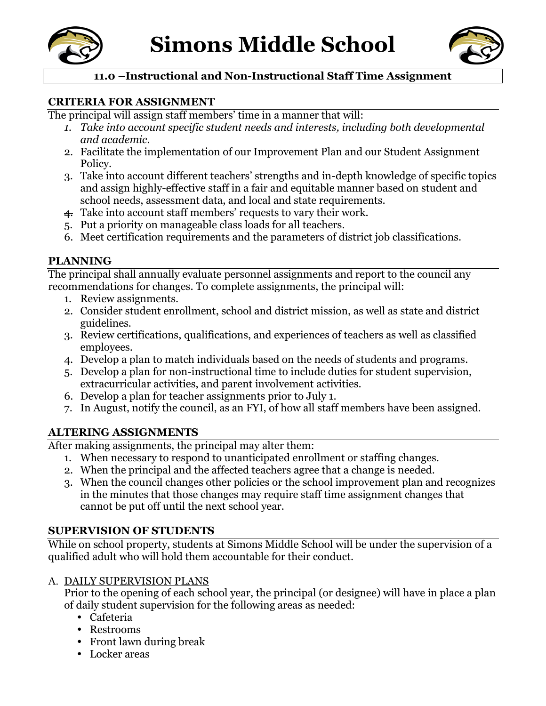



# **11.0 –Instructional and Non-Instructional Staff Time Assignment**

#### **CRITERIA FOR ASSIGNMENT**

The principal will assign staff members' time in a manner that will:

- *1. Take into account specific student needs and interests, including both developmental and academic.*
- 2. Facilitate the implementation of our Improvement Plan and our Student Assignment Policy.
- 3. Take into account different teachers' strengths and in-depth knowledge of specific topics and assign highly-effective staff in a fair and equitable manner based on student and school needs, assessment data, and local and state requirements.
- 4. Take into account staff members' requests to vary their work.
- 5. Put a priority on manageable class loads for all teachers.
- 6. Meet certification requirements and the parameters of district job classifications.

### **PLANNING**

The principal shall annually evaluate personnel assignments and report to the council any recommendations for changes. To complete assignments, the principal will:

- 1. Review assignments.
- 2. Consider student enrollment, school and district mission, as well as state and district guidelines.
- 3. Review certifications, qualifications, and experiences of teachers as well as classified employees.
- 4. Develop a plan to match individuals based on the needs of students and programs.
- 5. Develop a plan for non-instructional time to include duties for student supervision, extracurricular activities, and parent involvement activities.
- 6. Develop a plan for teacher assignments prior to July 1.
- 7. In August, notify the council, as an FYI, of how all staff members have been assigned.

### **ALTERING ASSIGNMENTS**

After making assignments, the principal may alter them:

- 1. When necessary to respond to unanticipated enrollment or staffing changes.
- 2. When the principal and the affected teachers agree that a change is needed.
- 3. When the council changes other policies or the school improvement plan and recognizes in the minutes that those changes may require staff time assignment changes that cannot be put off until the next school year.

### **SUPERVISION OF STUDENTS**

While on school property, students at Simons Middle School will be under the supervision of a qualified adult who will hold them accountable for their conduct.

### A. DAILY SUPERVISION PLANS

Prior to the opening of each school year, the principal (or designee) will have in place a plan of daily student supervision for the following areas as needed:

- Cafeteria
- Restrooms
- Front lawn during break
- Locker areas